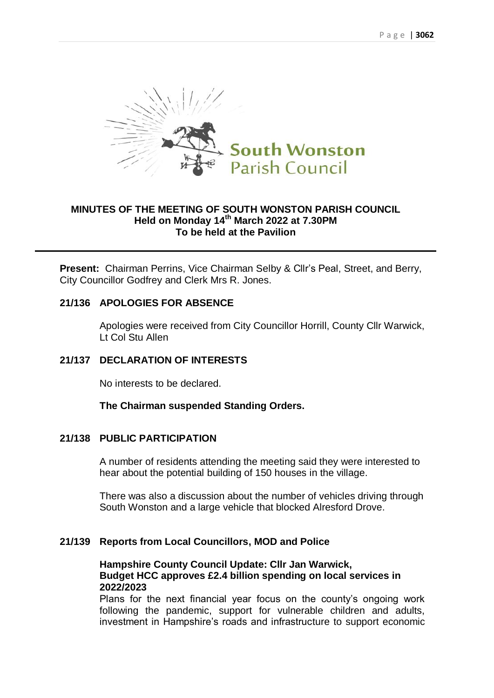

## **MINUTES OF THE MEETING OF SOUTH WONSTON PARISH COUNCIL Held on Monday 14 th March 2022 at 7.30PM To be held at the Pavilion**

**Present:** Chairman Perrins, Vice Chairman Selby & Cllr's Peal, Street, and Berry, City Councillor Godfrey and Clerk Mrs R. Jones.

## **21/136 APOLOGIES FOR ABSENCE**

Apologies were received from City Councillor Horrill, County Cllr Warwick, Lt Col Stu Allen

## **21/137 DECLARATION OF INTERESTS**

No interests to be declared.

**The Chairman suspended Standing Orders.**

## **21/138 PUBLIC PARTICIPATION**

A number of residents attending the meeting said they were interested to hear about the potential building of 150 houses in the village.

There was also a discussion about the number of vehicles driving through South Wonston and a large vehicle that blocked Alresford Drove.

## **21/139 Reports from Local Councillors, MOD and Police**

## **Hampshire County Council Update: Cllr Jan Warwick, Budget HCC approves £2.4 billion spending on local services in 2022/2023**

Plans for the next financial year focus on the county's ongoing work following the pandemic, support for vulnerable children and adults, investment in Hampshire's roads and infrastructure to support economic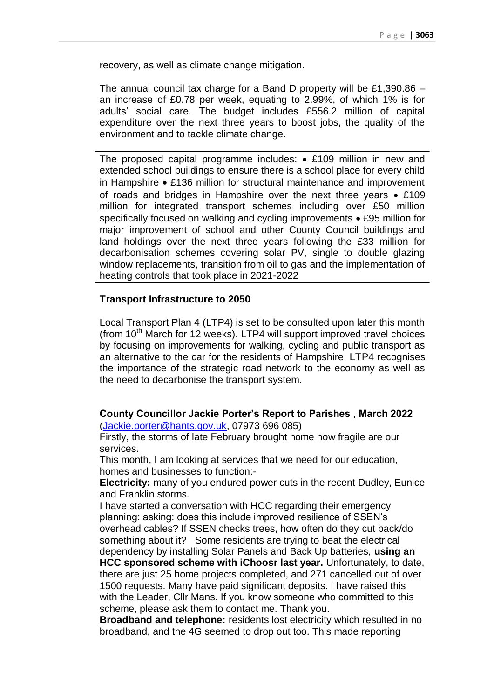recovery, as well as climate change mitigation.

The annual council tax charge for a Band D property will be £1,390.86 – an increase of £0.78 per week, equating to 2.99%, of which 1% is for adults' social care. The budget includes £556.2 million of capital expenditure over the next three years to boost jobs, the quality of the environment and to tackle climate change.

The proposed capital programme includes:  $\bullet$  £109 million in new and extended school buildings to ensure there is a school place for every child in Hampshire  $\bullet$  £136 million for structural maintenance and improvement of roads and bridges in Hampshire over the next three years  $\bullet$  £109 million for integrated transport schemes including over £50 million specifically focused on walking and cycling improvements • £95 million for major improvement of school and other County Council buildings and land holdings over the next three years following the £33 million for decarbonisation schemes covering solar PV, single to double glazing window replacements, transition from oil to gas and the implementation of heating controls that took place in 2021-2022

## **Transport Infrastructure to 2050**

Local Transport Plan 4 (LTP4) is set to be consulted upon later this month (from  $10<sup>th</sup>$  March for 12 weeks). LTP4 will support improved travel choices by focusing on improvements for walking, cycling and public transport as an alternative to the car for the residents of Hampshire. LTP4 recognises the importance of the strategic road network to the economy as well as the need to decarbonise the transport system.

## **County Councillor Jackie Porter's Report to Parishes , March 2022** [\(Jackie.porter@hants.gov.uk,](mailto:Jackie.porter@hants.gov.uk) 07973 696 085)

Firstly, the storms of late February brought home how fragile are our services.

This month, I am looking at services that we need for our education, homes and businesses to function:-

**Electricity:** many of you endured power cuts in the recent Dudley, Eunice and Franklin storms.

I have started a conversation with HCC regarding their emergency planning: asking: does this include improved resilience of SSEN's overhead cables? If SSEN checks trees, how often do they cut back/do something about it? Some residents are trying to beat the electrical dependency by installing Solar Panels and Back Up batteries, **using an HCC sponsored scheme with iChoosr last year.** Unfortunately, to date, there are just 25 home projects completed, and 271 cancelled out of over 1500 requests. Many have paid significant deposits. I have raised this with the Leader, Cllr Mans. If you know someone who committed to this scheme, please ask them to contact me. Thank you.

**Broadband and telephone:** residents lost electricity which resulted in no broadband, and the 4G seemed to drop out too. This made reporting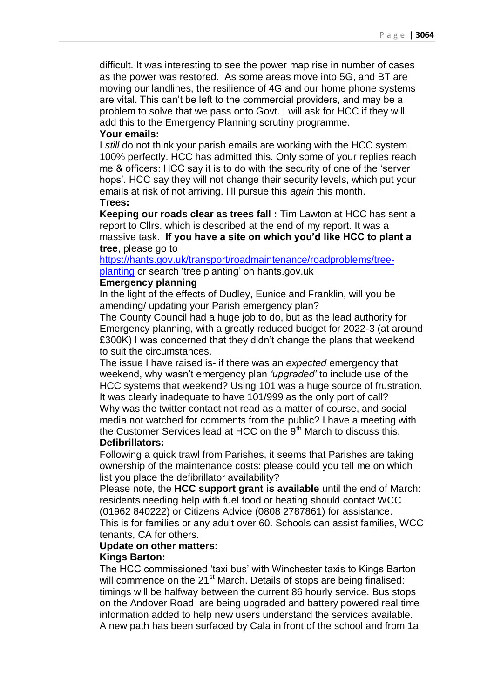difficult. It was interesting to see the power map rise in number of cases as the power was restored. As some areas move into 5G, and BT are moving our landlines, the resilience of 4G and our home phone systems are vital. This can't be left to the commercial providers, and may be a problem to solve that we pass onto Govt. I will ask for HCC if they will add this to the Emergency Planning scrutiny programme.

## **Your emails:**

I *still* do not think your parish emails are working with the HCC system 100% perfectly. HCC has admitted this. Only some of your replies reach me & officers: HCC say it is to do with the security of one of the 'server hops'. HCC say they will not change their security levels, which put your emails at risk of not arriving. I'll pursue this *again* this month. **Trees:**

**Keeping our roads clear as trees fall :** Tim Lawton at HCC has sent a report to Cllrs. which is described at the end of my report. It was a massive task. **If you have a site on which you'd like HCC to plant a tree**, please go to

[https://hants.gov.uk/transport/roadmaintenance/roadproblems/tree](https://hants.gov.uk/transport/roadmaintenance/roadproblems/tree-planting)[planting](https://hants.gov.uk/transport/roadmaintenance/roadproblems/tree-planting) or search 'tree planting' on hants.gov.uk

## **Emergency planning**

In the light of the effects of Dudley, Eunice and Franklin, will you be amending/ updating your Parish emergency plan?

The County Council had a huge job to do, but as the lead authority for Emergency planning, with a greatly reduced budget for 2022-3 (at around £300K) I was concerned that they didn't change the plans that weekend to suit the circumstances.

The issue I have raised is- if there was an *expected* emergency that weekend, why wasn't emergency plan *'upgraded'* to include use of the HCC systems that weekend? Using 101 was a huge source of frustration. It was clearly inadequate to have 101/999 as the only port of call? Why was the twitter contact not read as a matter of course, and social media not watched for comments from the public? I have a meeting with the Customer Services lead at HCC on the  $9<sup>th</sup>$  March to discuss this. **Defibrillators:**

Following a quick trawl from Parishes, it seems that Parishes are taking ownership of the maintenance costs: please could you tell me on which list you place the defibrillator availability?

Please note, the **HCC support grant is available** until the end of March: residents needing help with fuel food or heating should contact WCC (01962 840222) or Citizens Advice (0808 2787861) for assistance. This is for families or any adult over 60. Schools can assist families, WCC tenants, CA for others.

## **Update on other matters:**

#### **Kings Barton:**

The HCC commissioned 'taxi bus' with Winchester taxis to Kings Barton will commence on the 21<sup>st</sup> March. Details of stops are being finalised: timings will be halfway between the current 86 hourly service. Bus stops on the Andover Road are being upgraded and battery powered real time information added to help new users understand the services available. A new path has been surfaced by Cala in front of the school and from 1a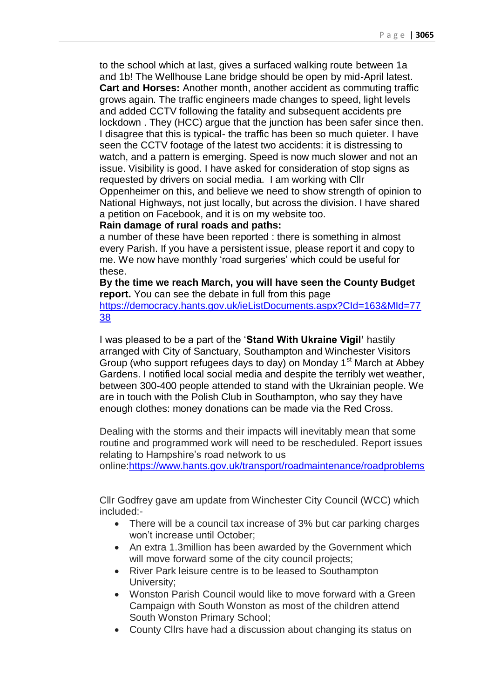to the school which at last, gives a surfaced walking route between 1a and 1b! The Wellhouse Lane bridge should be open by mid-April latest. **Cart and Horses:** Another month, another accident as commuting traffic grows again. The traffic engineers made changes to speed, light levels and added CCTV following the fatality and subsequent accidents pre lockdown . They (HCC) argue that the junction has been safer since then. I disagree that this is typical- the traffic has been so much quieter. I have seen the CCTV footage of the latest two accidents: it is distressing to watch, and a pattern is emerging. Speed is now much slower and not an issue. Visibility is good. I have asked for consideration of stop signs as requested by drivers on social media. I am working with Cllr Oppenheimer on this, and believe we need to show strength of opinion to National Highways, not just locally, but across the division. I have shared a petition on Facebook, and it is on my website too.

## **Rain damage of rural roads and paths:**

a number of these have been reported : there is something in almost every Parish. If you have a persistent issue, please report it and copy to me. We now have monthly 'road surgeries' which could be useful for these.

**By the time we reach March, you will have seen the County Budget report.** You can see the debate in full from this page [https://democracy.hants.gov.uk/ieListDocuments.aspx?CId=163&MId=77](https://democracy.hants.gov.uk/ieListDocuments.aspx?CId=163&MId=7738) [38](https://democracy.hants.gov.uk/ieListDocuments.aspx?CId=163&MId=7738)

I was pleased to be a part of the '**Stand With Ukraine Vigil'** hastily arranged with City of Sanctuary, Southampton and Winchester Visitors Group (who support refugees days to day) on Monday 1<sup>st</sup> March at Abbey Gardens. I notified local social media and despite the terribly wet weather, between 300-400 people attended to stand with the Ukrainian people. We are in touch with the Polish Club in Southampton, who say they have enough clothes: money donations can be made via the Red Cross.

Dealing with the storms and their impacts will inevitably mean that some routine and programmed work will need to be rescheduled. Report issues relating to Hampshire's road network to us

online[:https://www.hants.gov.uk/transport/roadmaintenance/roadproblems](https://www.hants.gov.uk/transport/roadmaintenance/roadproblems)

Cllr Godfrey gave am update from Winchester City Council (WCC) which included:-

- There will be a council tax increase of 3% but car parking charges won't increase until October;
- An extra 1.3 million has been awarded by the Government which will move forward some of the city council projects;
- River Park leisure centre is to be leased to Southampton University;
- Wonston Parish Council would like to move forward with a Green Campaign with South Wonston as most of the children attend South Wonston Primary School;
- County Cllrs have had a discussion about changing its status on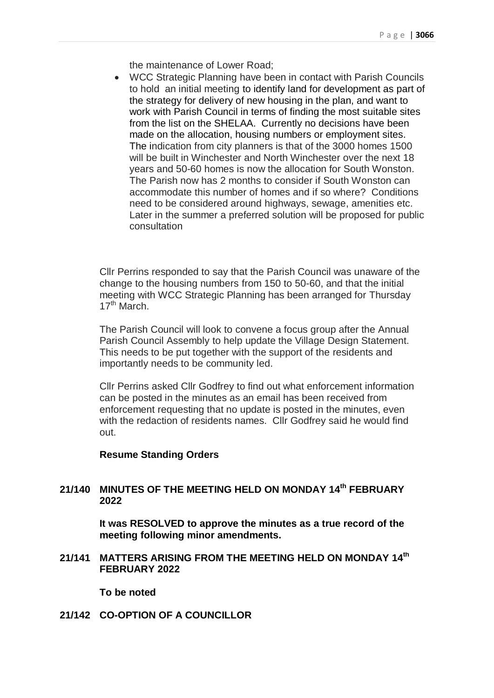the maintenance of Lower Road;

 WCC Strategic Planning have been in contact with Parish Councils to hold an initial meeting to identify land for development as part of the strategy for delivery of new housing in the plan, and want to work with Parish Council in terms of finding the most suitable sites from the list on the SHELAA. Currently no decisions have been made on the allocation, housing numbers or employment sites. The indication from city planners is that of the 3000 homes 1500 will be built in Winchester and North Winchester over the next 18 years and 50-60 homes is now the allocation for South Wonston. The Parish now has 2 months to consider if South Wonston can accommodate this number of homes and if so where? Conditions need to be considered around highways, sewage, amenities etc. Later in the summer a preferred solution will be proposed for public consultation

Cllr Perrins responded to say that the Parish Council was unaware of the change to the housing numbers from 150 to 50-60, and that the initial meeting with WCC Strategic Planning has been arranged for Thursday  $17<sup>th</sup>$  March.

The Parish Council will look to convene a focus group after the Annual Parish Council Assembly to help update the Village Design Statement. This needs to be put together with the support of the residents and importantly needs to be community led.

Cllr Perrins asked Cllr Godfrey to find out what enforcement information can be posted in the minutes as an email has been received from enforcement requesting that no update is posted in the minutes, even with the redaction of residents names. Cllr Godfrey said he would find out.

## **Resume Standing Orders**

## **21/140 MINUTES OF THE MEETING HELD ON MONDAY 14 th FEBRUARY 2022**

**It was RESOLVED to approve the minutes as a true record of the meeting following minor amendments.**

**21/141 MATTERS ARISING FROM THE MEETING HELD ON MONDAY 14 th FEBRUARY 2022**

**To be noted**

**21/142 CO-OPTION OF A COUNCILLOR**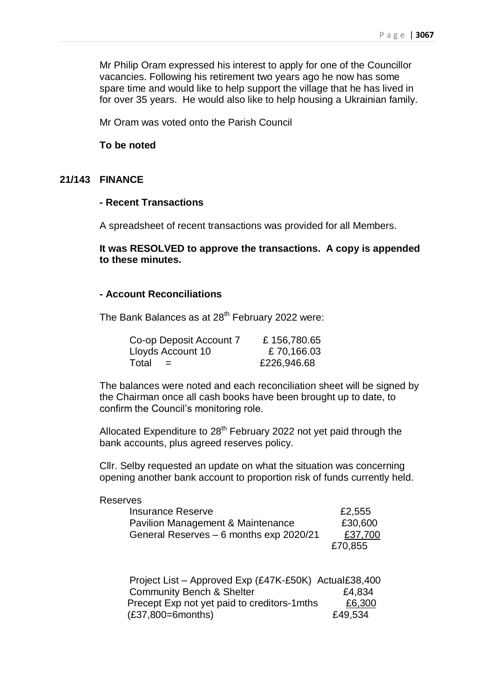Mr Philip Oram expressed his interest to apply for one of the Councillor vacancies. Following his retirement two years ago he now has some spare time and would like to help support the village that he has lived in for over 35 years. He would also like to help housing a Ukrainian family.

Mr Oram was voted onto the Parish Council

## **To be noted**

## **21/143 FINANCE**

## **- Recent Transactions**

A spreadsheet of recent transactions was provided for all Members.

**It was RESOLVED to approve the transactions. A copy is appended to these minutes.**

## **- Account Reconciliations**

The Bank Balances as at 28<sup>th</sup> February 2022 were:

| Co-op Deposit Account 7 | £156,780.65 |
|-------------------------|-------------|
| Lloyds Account 10       | £70,166.03  |
| Total<br>$=$            | £226,946.68 |

The balances were noted and each reconciliation sheet will be signed by the Chairman once all cash books have been brought up to date, to confirm the Council's monitoring role.

Allocated Expenditure to  $28<sup>th</sup>$  February 2022 not yet paid through the bank accounts, plus agreed reserves policy.

Cllr. Selby requested an update on what the situation was concerning opening another bank account to proportion risk of funds currently held.

#### Reserves

| <b>Insurance Reserve</b>                           | £2,555  |
|----------------------------------------------------|---------|
| Pavilion Management & Maintenance                  | £30,600 |
| £37,700<br>General Reserves – 6 months exp 2020/21 |         |
|                                                    | £70,855 |

| Project List - Approved Exp (£47K-£50K) Actual £38,400 |         |
|--------------------------------------------------------|---------|
| <b>Community Bench &amp; Shelter</b>                   | £4,834  |
| Precept Exp not yet paid to creditors-1mths            | £6,300  |
| $(E37,800=6$ months)                                   | £49,534 |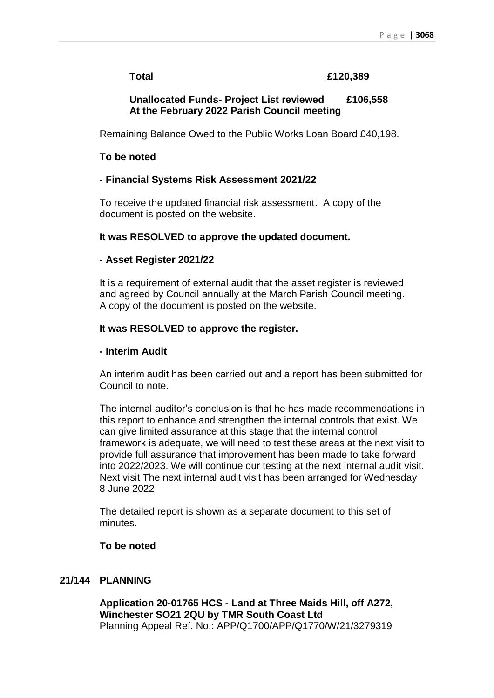## **Total £120,389**

## **Unallocated Funds- Project List reviewed £106,558 At the February 2022 Parish Council meeting**

Remaining Balance Owed to the Public Works Loan Board £40,198.

## **To be noted**

## **- Financial Systems Risk Assessment 2021/22**

To receive the updated financial risk assessment. A copy of the document is posted on the website.

## **It was RESOLVED to approve the updated document.**

## **- Asset Register 2021/22**

It is a requirement of external audit that the asset register is reviewed and agreed by Council annually at the March Parish Council meeting. A copy of the document is posted on the website.

## **It was RESOLVED to approve the register.**

## **- Interim Audit**

An interim audit has been carried out and a report has been submitted for Council to note.

The internal auditor's conclusion is that he has made recommendations in this report to enhance and strengthen the internal controls that exist. We can give limited assurance at this stage that the internal control framework is adequate, we will need to test these areas at the next visit to provide full assurance that improvement has been made to take forward into 2022/2023. We will continue our testing at the next internal audit visit. Next visit The next internal audit visit has been arranged for Wednesday 8 June 2022

The detailed report is shown as a separate document to this set of minutes.

## **To be noted**

## **21/144 PLANNING**

**Application 20-01765 HCS - Land at Three Maids Hill, off A272, Winchester SO21 2QU by TMR South Coast Ltd**  Planning Appeal Ref. No.: APP/Q1700/APP/Q1770/W/21/3279319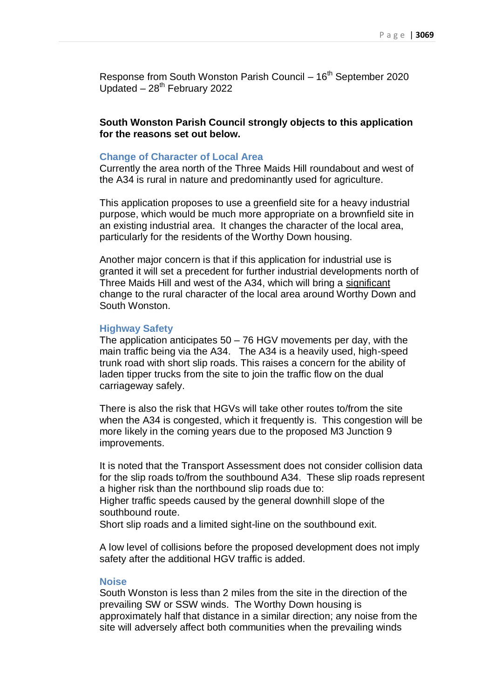Response from South Wonston Parish Council  $-16<sup>th</sup>$  September 2020 Updated  $-28<sup>th</sup>$  February 2022

**South Wonston Parish Council strongly objects to this application for the reasons set out below.**

#### **Change of Character of Local Area**

Currently the area north of the Three Maids Hill roundabout and west of the A34 is rural in nature and predominantly used for agriculture.

This application proposes to use a greenfield site for a heavy industrial purpose, which would be much more appropriate on a brownfield site in an existing industrial area. It changes the character of the local area, particularly for the residents of the Worthy Down housing.

Another major concern is that if this application for industrial use is granted it will set a precedent for further industrial developments north of Three Maids Hill and west of the A34, which will bring a significant change to the rural character of the local area around Worthy Down and South Wonston.

## **Highway Safety**

The application anticipates  $50 - 76$  HGV movements per day, with the main traffic being via the A34. The A34 is a heavily used, high-speed trunk road with short slip roads. This raises a concern for the ability of laden tipper trucks from the site to join the traffic flow on the dual carriageway safely.

There is also the risk that HGVs will take other routes to/from the site when the A34 is congested, which it frequently is. This congestion will be more likely in the coming years due to the proposed M3 Junction 9 improvements.

It is noted that the Transport Assessment does not consider collision data for the slip roads to/from the southbound A34. These slip roads represent a higher risk than the northbound slip roads due to:

Higher traffic speeds caused by the general downhill slope of the southbound route.

Short slip roads and a limited sight-line on the southbound exit.

A low level of collisions before the proposed development does not imply safety after the additional HGV traffic is added.

## **Noise**

South Wonston is less than 2 miles from the site in the direction of the prevailing SW or SSW winds. The Worthy Down housing is approximately half that distance in a similar direction; any noise from the site will adversely affect both communities when the prevailing winds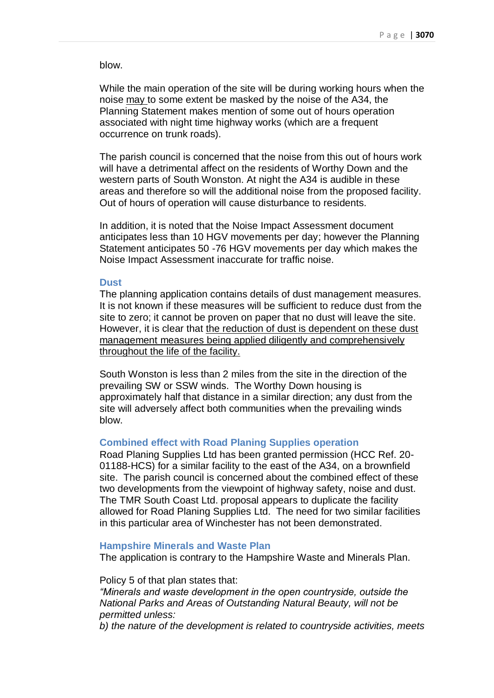blow.

While the main operation of the site will be during working hours when the noise may to some extent be masked by the noise of the A34, the Planning Statement makes mention of some out of hours operation associated with night time highway works (which are a frequent occurrence on trunk roads).

The parish council is concerned that the noise from this out of hours work will have a detrimental affect on the residents of Worthy Down and the western parts of South Wonston. At night the A34 is audible in these areas and therefore so will the additional noise from the proposed facility. Out of hours of operation will cause disturbance to residents.

In addition, it is noted that the Noise Impact Assessment document anticipates less than 10 HGV movements per day; however the Planning Statement anticipates 50 -76 HGV movements per day which makes the Noise Impact Assessment inaccurate for traffic noise.

#### **Dust**

The planning application contains details of dust management measures. It is not known if these measures will be sufficient to reduce dust from the site to zero; it cannot be proven on paper that no dust will leave the site. However, it is clear that the reduction of dust is dependent on these dust management measures being applied diligently and comprehensively throughout the life of the facility.

South Wonston is less than 2 miles from the site in the direction of the prevailing SW or SSW winds. The Worthy Down housing is approximately half that distance in a similar direction; any dust from the site will adversely affect both communities when the prevailing winds blow.

## **Combined effect with Road Planing Supplies operation**

Road Planing Supplies Ltd has been granted permission (HCC Ref. 20- 01188-HCS) for a similar facility to the east of the A34, on a brownfield site. The parish council is concerned about the combined effect of these two developments from the viewpoint of highway safety, noise and dust. The TMR South Coast Ltd. proposal appears to duplicate the facility allowed for Road Planing Supplies Ltd. The need for two similar facilities in this particular area of Winchester has not been demonstrated.

#### **Hampshire Minerals and Waste Plan**

The application is contrary to the Hampshire Waste and Minerals Plan.

Policy 5 of that plan states that: *"Minerals and waste development in the open countryside, outside the National Parks and Areas of Outstanding Natural Beauty, will not be permitted unless:*

*b) the nature of the development is related to countryside activities, meets*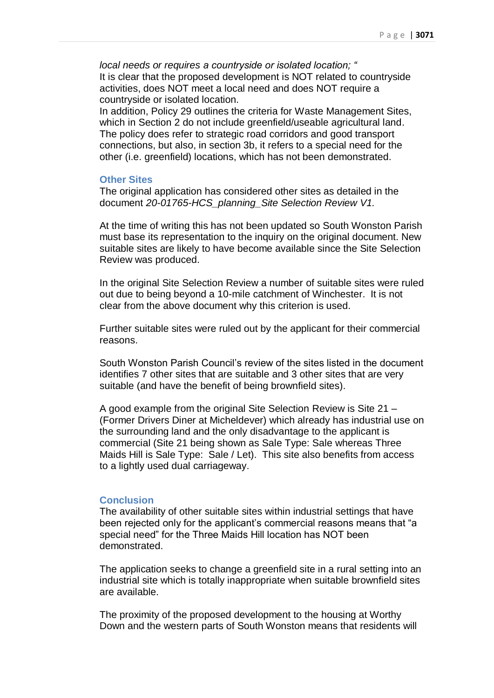*local needs or requires a countryside or isolated location; "* It is clear that the proposed development is NOT related to countryside activities, does NOT meet a local need and does NOT require a countryside or isolated location.

In addition, Policy 29 outlines the criteria for Waste Management Sites, which in Section 2 do not include greenfield/useable agricultural land. The policy does refer to strategic road corridors and good transport connections, but also, in section 3b, it refers to a special need for the other (i.e. greenfield) locations, which has not been demonstrated.

#### **Other Sites**

The original application has considered other sites as detailed in the document *20-01765-HCS\_planning\_Site Selection Review V1.*

At the time of writing this has not been updated so South Wonston Parish must base its representation to the inquiry on the original document. New suitable sites are likely to have become available since the Site Selection Review was produced.

In the original Site Selection Review a number of suitable sites were ruled out due to being beyond a 10-mile catchment of Winchester. It is not clear from the above document why this criterion is used.

Further suitable sites were ruled out by the applicant for their commercial reasons.

South Wonston Parish Council's review of the sites listed in the document identifies 7 other sites that are suitable and 3 other sites that are very suitable (and have the benefit of being brownfield sites).

A good example from the original Site Selection Review is Site 21 – (Former Drivers Diner at Micheldever) which already has industrial use on the surrounding land and the only disadvantage to the applicant is commercial (Site 21 being shown as Sale Type: Sale whereas Three Maids Hill is Sale Type: Sale / Let). This site also benefits from access to a lightly used dual carriageway.

#### **Conclusion**

The availability of other suitable sites within industrial settings that have been rejected only for the applicant's commercial reasons means that "a special need" for the Three Maids Hill location has NOT been demonstrated.

The application seeks to change a greenfield site in a rural setting into an industrial site which is totally inappropriate when suitable brownfield sites are available.

The proximity of the proposed development to the housing at Worthy Down and the western parts of South Wonston means that residents will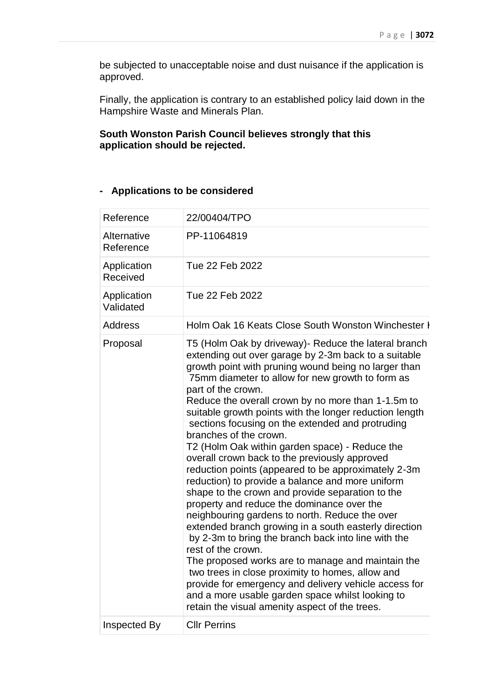be subjected to unacceptable noise and dust nuisance if the application is approved.

Finally, the application is contrary to an established policy laid down in the Hampshire Waste and Minerals Plan.

## **South Wonston Parish Council believes strongly that this application should be rejected.**

## **- Applications to be considered**

| Reference                | 22/00404/TPO                                                                                                                                                                                                                                                                                                                                                                                                                                                                                                                                                                                                                                                                                                                                                                                                                                                                                                                                                                                                                                                                                                                                                                                                                   |
|--------------------------|--------------------------------------------------------------------------------------------------------------------------------------------------------------------------------------------------------------------------------------------------------------------------------------------------------------------------------------------------------------------------------------------------------------------------------------------------------------------------------------------------------------------------------------------------------------------------------------------------------------------------------------------------------------------------------------------------------------------------------------------------------------------------------------------------------------------------------------------------------------------------------------------------------------------------------------------------------------------------------------------------------------------------------------------------------------------------------------------------------------------------------------------------------------------------------------------------------------------------------|
| Alternative<br>Reference | PP-11064819                                                                                                                                                                                                                                                                                                                                                                                                                                                                                                                                                                                                                                                                                                                                                                                                                                                                                                                                                                                                                                                                                                                                                                                                                    |
| Application<br>Received  | Tue 22 Feb 2022                                                                                                                                                                                                                                                                                                                                                                                                                                                                                                                                                                                                                                                                                                                                                                                                                                                                                                                                                                                                                                                                                                                                                                                                                |
| Application<br>Validated | Tue 22 Feb 2022                                                                                                                                                                                                                                                                                                                                                                                                                                                                                                                                                                                                                                                                                                                                                                                                                                                                                                                                                                                                                                                                                                                                                                                                                |
| <b>Address</b>           | Holm Oak 16 Keats Close South Wonston Winchester H                                                                                                                                                                                                                                                                                                                                                                                                                                                                                                                                                                                                                                                                                                                                                                                                                                                                                                                                                                                                                                                                                                                                                                             |
| Proposal                 | T5 (Holm Oak by driveway) - Reduce the lateral branch<br>extending out over garage by 2-3m back to a suitable<br>growth point with pruning wound being no larger than<br>75mm diameter to allow for new growth to form as<br>part of the crown.<br>Reduce the overall crown by no more than 1-1.5m to<br>suitable growth points with the longer reduction length<br>sections focusing on the extended and protruding<br>branches of the crown.<br>T2 (Holm Oak within garden space) - Reduce the<br>overall crown back to the previously approved<br>reduction points (appeared to be approximately 2-3m<br>reduction) to provide a balance and more uniform<br>shape to the crown and provide separation to the<br>property and reduce the dominance over the<br>neighbouring gardens to north. Reduce the over<br>extended branch growing in a south easterly direction<br>by 2-3m to bring the branch back into line with the<br>rest of the crown.<br>The proposed works are to manage and maintain the<br>two trees in close proximity to homes, allow and<br>provide for emergency and delivery vehicle access for<br>and a more usable garden space whilst looking to<br>retain the visual amenity aspect of the trees. |
| Inspected By             | <b>Cllr Perrins</b>                                                                                                                                                                                                                                                                                                                                                                                                                                                                                                                                                                                                                                                                                                                                                                                                                                                                                                                                                                                                                                                                                                                                                                                                            |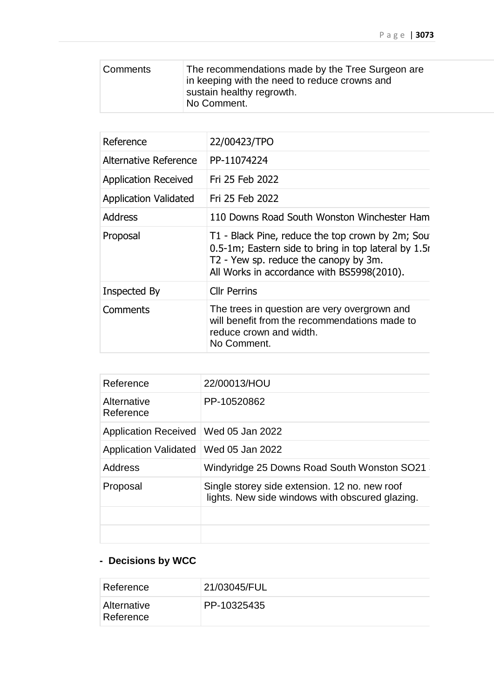| Comments | The recommendations made by the Tree Surgeon are<br>in keeping with the need to reduce crowns and<br>sustain healthy regrowth.<br>No Comment. |
|----------|-----------------------------------------------------------------------------------------------------------------------------------------------|
|          |                                                                                                                                               |

| Reference                    | 22/00423/TPO                                                                                                                                                                                    |
|------------------------------|-------------------------------------------------------------------------------------------------------------------------------------------------------------------------------------------------|
| Alternative Reference        | PP-11074224                                                                                                                                                                                     |
| <b>Application Received</b>  | Fri 25 Feb 2022                                                                                                                                                                                 |
| <b>Application Validated</b> | Fri 25 Feb 2022                                                                                                                                                                                 |
| Address                      | 110 Downs Road South Wonston Winchester Ham                                                                                                                                                     |
| Proposal                     | T1 - Black Pine, reduce the top crown by 2m; Sou<br>0.5-1m; Eastern side to bring in top lateral by 1.5r<br>T2 - Yew sp. reduce the canopy by 3m.<br>All Works in accordance with BS5998(2010). |
| Inspected By                 | <b>Cllr Perrins</b>                                                                                                                                                                             |
| Comments                     | The trees in question are very overgrown and<br>will benefit from the recommendations made to<br>reduce crown and width.<br>No Comment.                                                         |

| Reference                    | 22/00013/HOU                                                                                     |
|------------------------------|--------------------------------------------------------------------------------------------------|
| Alternative<br>Reference     | PP-10520862                                                                                      |
| <b>Application Received</b>  | Wed 05 Jan 2022                                                                                  |
| <b>Application Validated</b> | Wed 05 Jan 2022                                                                                  |
| Address                      | Windyridge 25 Downs Road South Wonston SO21                                                      |
| Proposal                     | Single storey side extension. 12 no. new roof<br>lights. New side windows with obscured glazing. |
|                              |                                                                                                  |
|                              |                                                                                                  |

# **- Decisions by WCC**

| Reference                | 21/03045/FUL |
|--------------------------|--------------|
| Alternative<br>Reference | PP-10325435  |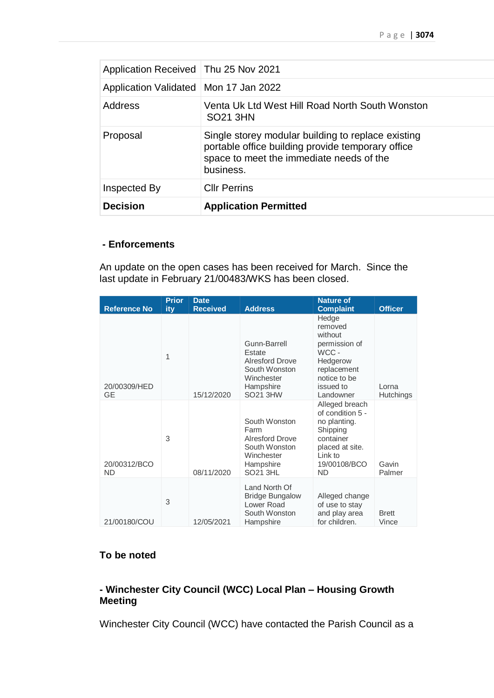| Application Received   Thu 25 Nov 2021  |                                                                                                                                                                  |
|-----------------------------------------|------------------------------------------------------------------------------------------------------------------------------------------------------------------|
| Application Validated   Mon 17 Jan 2022 |                                                                                                                                                                  |
| Address                                 | Venta Uk Ltd West Hill Road North South Wonston<br><b>SO21 3HN</b>                                                                                               |
| Proposal                                | Single storey modular building to replace existing<br>portable office building provide temporary office<br>space to meet the immediate needs of the<br>business. |
| Inspected By                            | <b>CIIr Perrins</b>                                                                                                                                              |
| <b>Decision</b>                         | <b>Application Permitted</b>                                                                                                                                     |

## **- Enforcements**

An update on the open cases has been received for March. Since the last update in February 21/00483/WKS has been closed.

| <b>Reference No</b>       | <b>Prior</b><br>ity | <b>Date</b><br><b>Received</b> | <b>Address</b>                                                                                                  | <b>Nature of</b><br><b>Complaint</b>                                                                                                   | <b>Officer</b>            |
|---------------------------|---------------------|--------------------------------|-----------------------------------------------------------------------------------------------------------------|----------------------------------------------------------------------------------------------------------------------------------------|---------------------------|
| 20/00309/HED<br>GE        | $\mathbf{1}$        | 15/12/2020                     | Gunn-Barrell<br>Estate<br><b>Alresford Drove</b><br>South Wonston<br>Winchester<br>Hampshire<br><b>SO21 3HW</b> | Hedge<br>removed<br>without<br>permission of<br>WCC-<br>Hedgerow<br>replacement<br>notice to be<br>issued to<br>Landowner              | Lorna<br><b>Hutchings</b> |
| 20/00312/BCO<br><b>ND</b> | 3                   | 08/11/2020                     | South Wonston<br>Farm<br><b>Alresford Drove</b><br>South Wonston<br>Winchester<br>Hampshire<br><b>SO21 3HL</b>  | Alleged breach<br>of condition 5 -<br>no planting.<br>Shipping<br>container<br>placed at site.<br>Link to<br>19/00108/BCO<br><b>ND</b> | Gavin<br>Palmer           |
| 21/00180/COU              | 3                   | 12/05/2021                     | Land North Of<br><b>Bridge Bungalow</b><br>Lower Road<br>South Wonston<br>Hampshire                             | Alleged change<br>of use to stay<br>and play area<br>for children.                                                                     | <b>Brett</b><br>Vince     |

## **To be noted**

## **- Winchester City Council (WCC) Local Plan – Housing Growth Meeting**

Winchester City Council (WCC) have contacted the Parish Council as a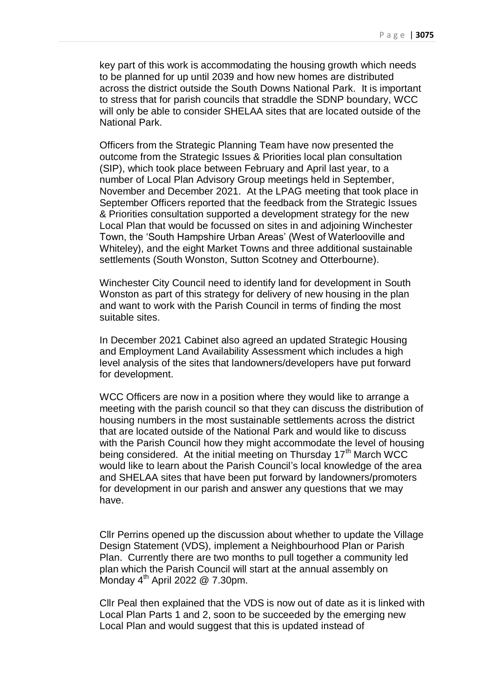key part of this work is accommodating the housing growth which needs to be planned for up until 2039 and how new homes are distributed across the district outside the South Downs National Park. It is important to stress that for parish councils that straddle the SDNP boundary, WCC will only be able to consider SHELAA sites that are located outside of the National Park.

Officers from the Strategic Planning Team have now presented the outcome from the Strategic Issues & Priorities local plan consultation (SIP), which took place between February and April last year, to a number of Local Plan Advisory Group meetings held in September, November and December 2021. At the LPAG meeting that took place in September Officers reported that the feedback from the Strategic Issues & Priorities consultation supported a development strategy for the new Local Plan that would be focussed on sites in and adjoining Winchester Town, the 'South Hampshire Urban Areas' (West of Waterlooville and Whiteley), and the eight Market Towns and three additional sustainable settlements (South Wonston, Sutton Scotney and Otterbourne).

Winchester City Council need to identify land for development in South Wonston as part of this strategy for delivery of new housing in the plan and want to work with the Parish Council in terms of finding the most suitable sites.

In December 2021 Cabinet also agreed an updated Strategic Housing and Employment Land Availability Assessment which includes a high level analysis of the sites that landowners/developers have put forward for development.

WCC Officers are now in a position where they would like to arrange a meeting with the parish council so that they can discuss the distribution of housing numbers in the most sustainable settlements across the district that are located outside of the National Park and would like to discuss with the Parish Council how they might accommodate the level of housing being considered. At the initial meeting on Thursday  $17<sup>th</sup>$  March WCC would like to learn about the Parish Council's local knowledge of the area and SHELAA sites that have been put forward by landowners/promoters for development in our parish and answer any questions that we may have.

Cllr Perrins opened up the discussion about whether to update the Village Design Statement (VDS), implement a Neighbourhood Plan or Parish Plan. Currently there are two months to pull together a community led plan which the Parish Council will start at the annual assembly on Monday  $4<sup>th</sup>$  April 2022 @ 7.30pm.

Cllr Peal then explained that the VDS is now out of date as it is linked with Local Plan Parts 1 and 2, soon to be succeeded by the emerging new Local Plan and would suggest that this is updated instead of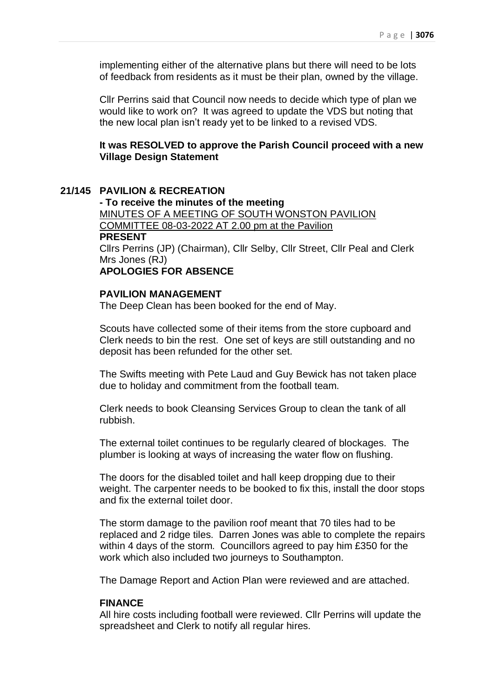implementing either of the alternative plans but there will need to be lots of feedback from residents as it must be their plan, owned by the village.

Cllr Perrins said that Council now needs to decide which type of plan we would like to work on? It was agreed to update the VDS but noting that the new local plan isn't ready yet to be linked to a revised VDS.

**It was RESOLVED to approve the Parish Council proceed with a new Village Design Statement**

#### **21/145 PAVILION & RECREATION**

**- To receive the minutes of the meeting** MINUTES OF A MEETING OF SOUTH WONSTON PAVILION COMMITTEE 08-03-2022 AT 2.00 pm at the Pavilion **PRESENT** Cllrs Perrins (JP) (Chairman), Cllr Selby, Cllr Street, Cllr Peal and Clerk Mrs Jones (RJ) **APOLOGIES FOR ABSENCE**

## **PAVILION MANAGEMENT**

The Deep Clean has been booked for the end of May.

Scouts have collected some of their items from the store cupboard and Clerk needs to bin the rest. One set of keys are still outstanding and no deposit has been refunded for the other set.

The Swifts meeting with Pete Laud and Guy Bewick has not taken place due to holiday and commitment from the football team.

Clerk needs to book Cleansing Services Group to clean the tank of all rubbish.

The external toilet continues to be regularly cleared of blockages. The plumber is looking at ways of increasing the water flow on flushing.

The doors for the disabled toilet and hall keep dropping due to their weight. The carpenter needs to be booked to fix this, install the door stops and fix the external toilet door.

The storm damage to the pavilion roof meant that 70 tiles had to be replaced and 2 ridge tiles. Darren Jones was able to complete the repairs within 4 days of the storm. Councillors agreed to pay him £350 for the work which also included two journeys to Southampton.

The Damage Report and Action Plan were reviewed and are attached.

## **FINANCE**

All hire costs including football were reviewed. Cllr Perrins will update the spreadsheet and Clerk to notify all regular hires.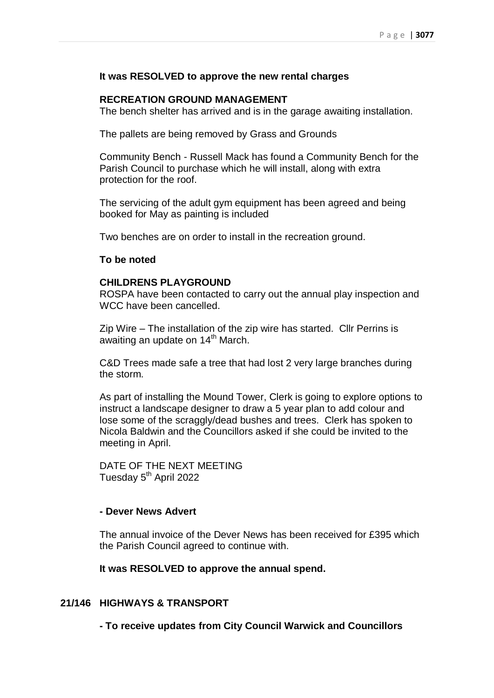## **It was RESOLVED to approve the new rental charges**

## **RECREATION GROUND MANAGEMENT**

The bench shelter has arrived and is in the garage awaiting installation.

The pallets are being removed by Grass and Grounds

Community Bench - Russell Mack has found a Community Bench for the Parish Council to purchase which he will install, along with extra protection for the roof.

The servicing of the adult gym equipment has been agreed and being booked for May as painting is included

Two benches are on order to install in the recreation ground.

## **To be noted**

## **CHILDRENS PLAYGROUND**

ROSPA have been contacted to carry out the annual play inspection and WCC have been cancelled.

Zip Wire – The installation of the zip wire has started. Cllr Perrins is awaiting an update on 14<sup>th</sup> March.

C&D Trees made safe a tree that had lost 2 very large branches during the storm.

As part of installing the Mound Tower, Clerk is going to explore options to instruct a landscape designer to draw a 5 year plan to add colour and lose some of the scraggly/dead bushes and trees. Clerk has spoken to Nicola Baldwin and the Councillors asked if she could be invited to the meeting in April.

DATE OF THE NEXT MEETING Tuesday 5<sup>th</sup> April 2022

## **- Dever News Advert**

The annual invoice of the Dever News has been received for £395 which the Parish Council agreed to continue with.

**It was RESOLVED to approve the annual spend.**

## **21/146 HIGHWAYS & TRANSPORT**

**- To receive updates from City Council Warwick and Councillors**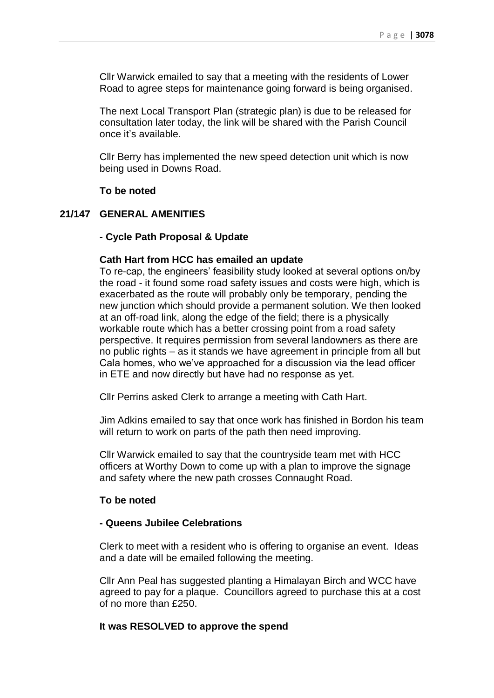Cllr Warwick emailed to say that a meeting with the residents of Lower Road to agree steps for maintenance going forward is being organised.

The next Local Transport Plan (strategic plan) is due to be released for consultation later today, the link will be shared with the Parish Council once it's available.

Cllr Berry has implemented the new speed detection unit which is now being used in Downs Road.

**To be noted**

## **21/147 GENERAL AMENITIES**

#### **- Cycle Path Proposal & Update**

## **Cath Hart from HCC has emailed an update**

To re-cap, the engineers' feasibility study looked at several options on/by the road - it found some road safety issues and costs were high, which is exacerbated as the route will probably only be temporary, pending the new junction which should provide a permanent solution. We then looked at an off-road link, along the edge of the field; there is a physically workable route which has a better crossing point from a road safety perspective. It requires permission from several landowners as there are no public rights – as it stands we have agreement in principle from all but Cala homes, who we've approached for a discussion via the lead officer in ETE and now directly but have had no response as yet.

Cllr Perrins asked Clerk to arrange a meeting with Cath Hart.

Jim Adkins emailed to say that once work has finished in Bordon his team will return to work on parts of the path then need improving.

Cllr Warwick emailed to say that the countryside team met with HCC officers at Worthy Down to come up with a plan to improve the signage and safety where the new path crosses Connaught Road.

#### **To be noted**

## **- Queens Jubilee Celebrations**

Clerk to meet with a resident who is offering to organise an event. Ideas and a date will be emailed following the meeting.

Cllr Ann Peal has suggested planting a Himalayan Birch and WCC have agreed to pay for a plaque. Councillors agreed to purchase this at a cost of no more than £250.

## **It was RESOLVED to approve the spend**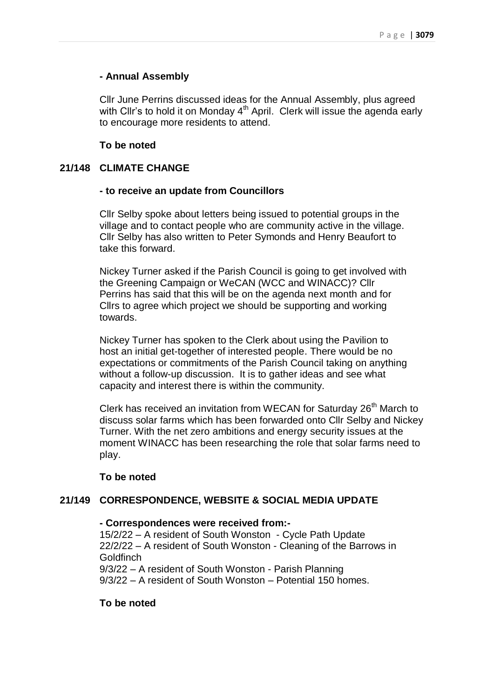## **- Annual Assembly**

Cllr June Perrins discussed ideas for the Annual Assembly, plus agreed with Cllr's to hold it on Monday 4<sup>th</sup> April. Clerk will issue the agenda early to encourage more residents to attend.

## **To be noted**

## **21/148 CLIMATE CHANGE**

## **- to receive an update from Councillors**

Cllr Selby spoke about letters being issued to potential groups in the village and to contact people who are community active in the village. Cllr Selby has also written to Peter Symonds and Henry Beaufort to take this forward.

Nickey Turner asked if the Parish Council is going to get involved with the Greening Campaign or WeCAN (WCC and WINACC)? Cllr Perrins has said that this will be on the agenda next month and for Cllrs to agree which project we should be supporting and working towards.

Nickey Turner has spoken to the Clerk about using the Pavilion to host an initial get-together of interested people. There would be no expectations or commitments of the Parish Council taking on anything without a follow-up discussion. It is to gather ideas and see what capacity and interest there is within the community.

Clerk has received an invitation from WECAN for Saturday 26<sup>th</sup> March to discuss solar farms which has been forwarded onto Cllr Selby and Nickey Turner. With the net zero ambitions and energy security issues at the moment WINACC has been researching the role that solar farms need to play.

## **To be noted**

## **21/149 CORRESPONDENCE, WEBSITE & SOCIAL MEDIA UPDATE**

#### **- Correspondences were received from:-**

15/2/22 – A resident of South Wonston - Cycle Path Update 22/2/22 – A resident of South Wonston - Cleaning of the Barrows in Goldfinch 9/3/22 – A resident of South Wonston - Parish Planning

9/3/22 – A resident of South Wonston – Potential 150 homes.

## **To be noted**